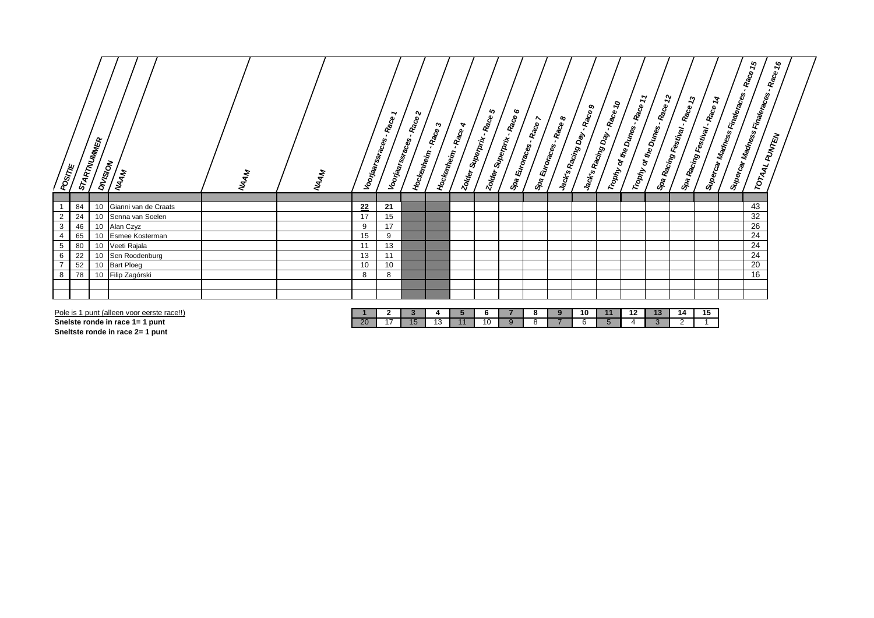| STARTNUMMER<br><b>pullar default</b><br><b>Miscr</b><br><b>MAAM</b>          | <b>WAAM</b> | <b>MAAM</b> |          | ∼<br>Voorjaarssraces - Race 1<br>Voorjaarssraces. | ∾<br>Race<br>Mockenheim. | Race <sub>3</sub><br>A<br><b>Race</b><br>Hockem <sub>leim</sub> . | い<br>Race<br>Superprix.<br><b>Zolder</b><br><b>Zolder</b> | ∾<br>* Superprix - Race ( | <b>S</b> pa Euroraces . Race 7 | <b>S</b> pa Euroraces - Race 8<br>Jack's Racing Day. | <b>Race 9</b><br>Jack's Racing Day. | $\mathcal{S}$<br><b>Baca</b> | $\mathbf{r}$<br>Race<br>Trophy of the Dunes . R | $\boldsymbol{\mathcal{L}}$<br>Race<br>Trophy of the Dunes. | 2  | Spa Racing Festival . Race 1. | $\mathfrak{c}_\mathcal{I}$<br>Race<br>Supercar Madness Finaleraces.<br>$\left  s_{\textit{W} \textit{B} \textit{rcar} \textit{W} \textit{ad} \textit{r} \textit{h} \textit{d} \textit{g} \textit{s}} \, \bar{\textit{F}}_{\textit{H} \textit{B} \textit{b} \textit{f} \textit{d} \textit{f} \textit{d} \textit{g} \textit{f} \textit{g}} \right _{s_{\textit{t}}}$ | $\boldsymbol{\mathscr{C}}$<br>Race<br>TOTAAL PUNTEN |
|------------------------------------------------------------------------------|-------------|-------------|----------|---------------------------------------------------|--------------------------|-------------------------------------------------------------------|-----------------------------------------------------------|---------------------------|--------------------------------|------------------------------------------------------|-------------------------------------|------------------------------|-------------------------------------------------|------------------------------------------------------------|----|-------------------------------|--------------------------------------------------------------------------------------------------------------------------------------------------------------------------------------------------------------------------------------------------------------------------------------------------------------------------------------------------------------------|-----------------------------------------------------|
|                                                                              |             |             |          |                                                   |                          |                                                                   |                                                           |                           |                                |                                                      |                                     |                              |                                                 |                                                            |    |                               |                                                                                                                                                                                                                                                                                                                                                                    |                                                     |
| Gianni van de Craats<br>84<br>10<br>Senna van Soelen<br>$\overline{2}$<br>24 |             |             | 22<br>17 | 21<br>15                                          |                          |                                                                   |                                                           |                           |                                |                                                      |                                     |                              |                                                 |                                                            |    |                               | 43<br>32                                                                                                                                                                                                                                                                                                                                                           |                                                     |
| $\mathbf{3}$<br>Alan Czyz<br>10<br>46                                        |             |             | 9        | 17                                                |                          |                                                                   |                                                           |                           |                                |                                                      |                                     |                              |                                                 |                                                            |    |                               | 26                                                                                                                                                                                                                                                                                                                                                                 |                                                     |
| Esmee Kosterman<br>65<br>4                                                   |             |             | 15       | 9                                                 |                          |                                                                   |                                                           |                           |                                |                                                      |                                     |                              |                                                 |                                                            |    |                               | 24                                                                                                                                                                                                                                                                                                                                                                 |                                                     |
| $5\overline{)}$<br>Veeti Rajala<br>80<br>10                                  |             |             | 11       | 13                                                |                          |                                                                   |                                                           |                           |                                |                                                      |                                     |                              |                                                 |                                                            |    |                               | 24                                                                                                                                                                                                                                                                                                                                                                 |                                                     |
| 6<br>Sen Roodenburg<br>22                                                    |             |             | 13       | 11                                                |                          |                                                                   |                                                           |                           |                                |                                                      |                                     |                              |                                                 |                                                            |    |                               | 24                                                                                                                                                                                                                                                                                                                                                                 |                                                     |
| $\overline{7}$<br>52<br><b>Bart Ploeg</b><br>10                              |             |             | 10       | 10                                                |                          |                                                                   |                                                           |                           |                                |                                                      |                                     |                              |                                                 |                                                            |    |                               | 20                                                                                                                                                                                                                                                                                                                                                                 |                                                     |
| 8<br>Filip Zagórski<br>78<br>10                                              |             |             | 8        | 8                                                 |                          |                                                                   |                                                           |                           |                                |                                                      |                                     |                              |                                                 |                                                            |    |                               | 16                                                                                                                                                                                                                                                                                                                                                                 |                                                     |
|                                                                              |             |             |          |                                                   |                          |                                                                   |                                                           |                           |                                |                                                      |                                     |                              |                                                 |                                                            |    |                               |                                                                                                                                                                                                                                                                                                                                                                    |                                                     |
|                                                                              |             |             |          |                                                   |                          |                                                                   |                                                           |                           |                                |                                                      |                                     |                              |                                                 |                                                            |    |                               |                                                                                                                                                                                                                                                                                                                                                                    |                                                     |
| Pole is 1 punt (alleen voor eerste race!!)                                   |             |             |          | $\mathbf{2}$                                      | 3                        | $\mathbf{p}$                                                      | 6                                                         |                           | 8                              | 9                                                    | 10                                  | 11                           | 12                                              | 13                                                         | 14 | 15                            |                                                                                                                                                                                                                                                                                                                                                                    |                                                     |

| Pole is<br>racall المصور<br>punt<br>nnn<br>$\sim$ 100 $\sim$<br>voor<br>тапеетт<br><b>ELL</b> |           |  |          |    |  | - 10 |  |  | . . |
|-----------------------------------------------------------------------------------------------|-----------|--|----------|----|--|------|--|--|-----|
| Snelste ronde in race 1=<br>punt                                                              | -חר<br>ZU |  | . .<br>. | 11 |  |      |  |  |     |
|                                                                                               |           |  |          |    |  |      |  |  |     |

**Sneltste ronde in race 2= 1 punt**